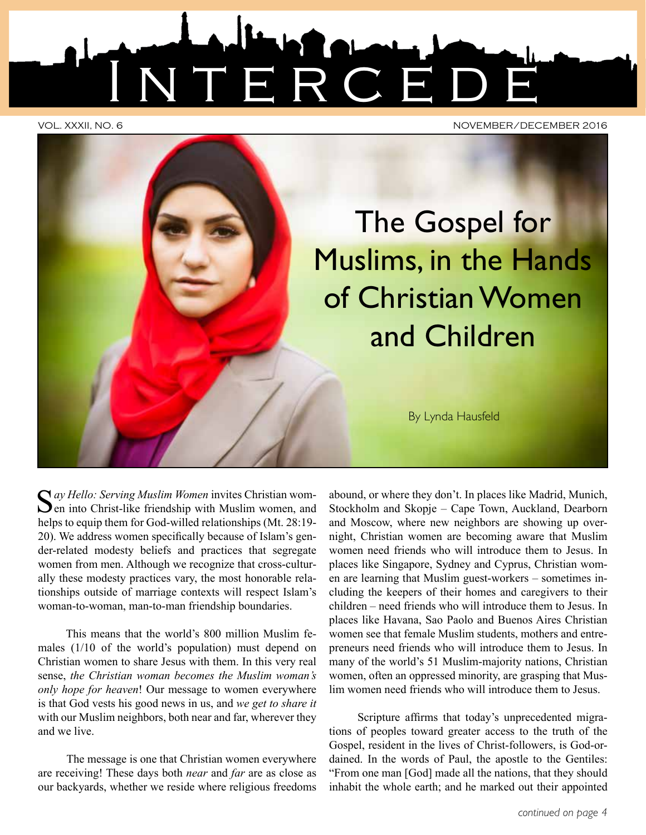

VOL. XXXII, NO. 6 NOVEMBER/DECEMBER 2016

The Gospel for Muslims, in the Hands of Christian Women and Children

By Lynda Hausfeld

Say Hello: Serving Muslim Women invites Christian wom-<br>
en into Christ-like friendship with Muslim women, and helps to equip them for God-willed relationships (Mt. 28:19- 20). We address women specifically because of Islam's gender-related modesty beliefs and practices that segregate women from men. Although we recognize that cross-culturally these modesty practices vary, the most honorable relationships outside of marriage contexts will respect Islam's woman-to-woman, man-to-man friendship boundaries.

This means that the world's 800 million Muslim females (1/10 of the world's population) must depend on Christian women to share Jesus with them. In this very real sense, *the Christian woman becomes the Muslim woman's only hope for heaven*! Our message to women everywhere is that God vests his good news in us, and *we get to share it*  with our Muslim neighbors, both near and far, wherever they and we live.

The message is one that Christian women everywhere are receiving! These days both *near* and *far* are as close as our backyards, whether we reside where religious freedoms

abound, or where they don't. In places like Madrid, Munich, Stockholm and Skopje – Cape Town, Auckland, Dearborn and Moscow, where new neighbors are showing up overnight, Christian women are becoming aware that Muslim women need friends who will introduce them to Jesus. In places like Singapore, Sydney and Cyprus, Christian women are learning that Muslim guest-workers – sometimes including the keepers of their homes and caregivers to their children – need friends who will introduce them to Jesus. In places like Havana, Sao Paolo and Buenos Aires Christian women see that female Muslim students, mothers and entrepreneurs need friends who will introduce them to Jesus. In many of the world's 51 Muslim-majority nations, Christian women, often an oppressed minority, are grasping that Muslim women need friends who will introduce them to Jesus.

Scripture affirms that today's unprecedented migrations of peoples toward greater access to the truth of the Gospel, resident in the lives of Christ-followers, is God-ordained. In the words of Paul, the apostle to the Gentiles: "From one man [God] made all the nations, that they should inhabit the whole earth; and he marked out their appointed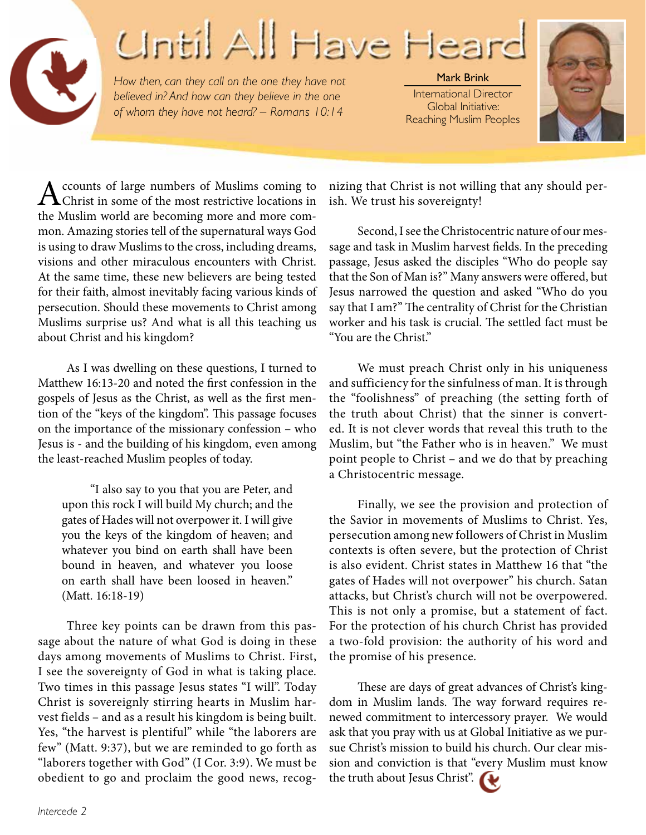## Cintil All Have Hea

*How then, can they call on the one they have not believed in? And how can they believe in the one of whom they have not heard? – Romans 10:14*

Mark Brink International Director Global Initiative: Reaching Muslim Peoples



ccounts of large numbers of Muslims coming to Christ in some of the most restrictive locations in the Muslim world are becoming more and more common. Amazing stories tell of the supernatural ways God is using to draw Muslims to the cross, including dreams, visions and other miraculous encounters with Christ. At the same time, these new believers are being tested for their faith, almost inevitably facing various kinds of persecution. Should these movements to Christ among Muslims surprise us? And what is all this teaching us about Christ and his kingdom?

As I was dwelling on these questions, I turned to Matthew 16:13-20 and noted the first confession in the gospels of Jesus as the Christ, as well as the first mention of the "keys of the kingdom". This passage focuses on the importance of the missionary confession – who Jesus is - and the building of his kingdom, even among the least-reached Muslim peoples of today.

"I also say to you that you are Peter, and upon this rock I will build My church; and the gates of Hades will not overpower it. I will give you the keys of the kingdom of heaven; and whatever you bind on earth shall have been bound in heaven, and whatever you loose on earth shall have been loosed in heaven." (Matt. 16:18-19)

Three key points can be drawn from this passage about the nature of what God is doing in these days among movements of Muslims to Christ. First, I see the sovereignty of God in what is taking place. Two times in this passage Jesus states "I will". Today Christ is sovereignly stirring hearts in Muslim harvest fields – and as a result his kingdom is being built. Yes, "the harvest is plentiful" while "the laborers are few" (Matt. 9:37), but we are reminded to go forth as "laborers together with God" (I Cor. 3:9). We must be obedient to go and proclaim the good news, recognizing that Christ is not willing that any should perish. We trust his sovereignty!

Second, I see the Christocentric nature of our message and task in Muslim harvest fields. In the preceding passage, Jesus asked the disciples "Who do people say that the Son of Man is?" Many answers were offered, but Jesus narrowed the question and asked "Who do you say that I am?" The centrality of Christ for the Christian worker and his task is crucial. The settled fact must be "You are the Christ."

We must preach Christ only in his uniqueness and sufficiency for the sinfulness of man. It is through the "foolishness" of preaching (the setting forth of the truth about Christ) that the sinner is converted. It is not clever words that reveal this truth to the Muslim, but "the Father who is in heaven." We must point people to Christ – and we do that by preaching a Christocentric message.

Finally, we see the provision and protection of the Savior in movements of Muslims to Christ. Yes, persecution among new followers of Christ in Muslim contexts is often severe, but the protection of Christ is also evident. Christ states in Matthew 16 that "the gates of Hades will not overpower" his church. Satan attacks, but Christ's church will not be overpowered. This is not only a promise, but a statement of fact. For the protection of his church Christ has provided a two-fold provision: the authority of his word and the promise of his presence.

These are days of great advances of Christ's kingdom in Muslim lands. The way forward requires renewed commitment to intercessory prayer. We would ask that you pray with us at Global Initiative as we pursue Christ's mission to build his church. Our clear mission and conviction is that "every Muslim must know the truth about Jesus Christ".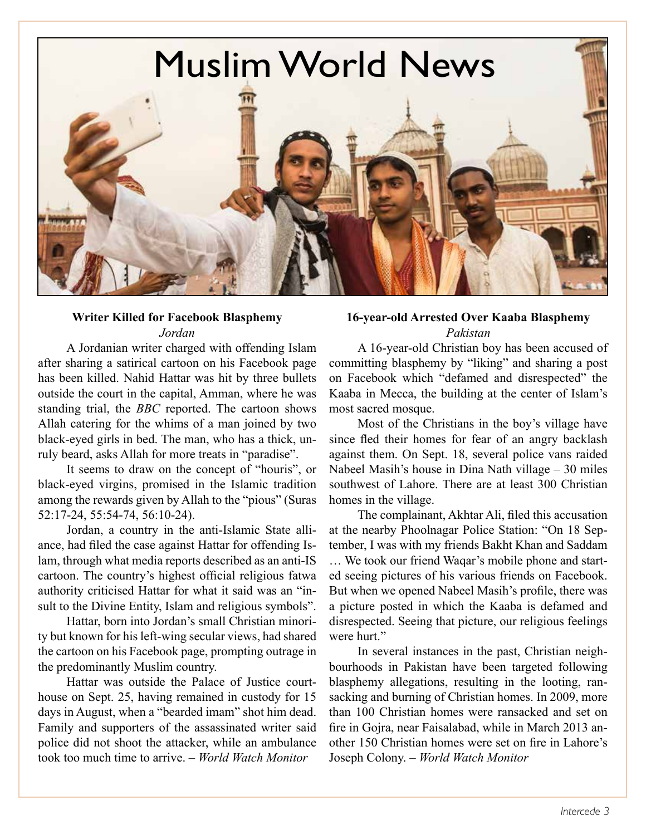

#### **Writer Killed for Facebook Blasphemy** *Jordan*

A Jordanian writer charged with offending Islam after sharing a satirical cartoon on his Facebook page has been killed. Nahid Hattar was hit by three bullets outside the court in the capital, Amman, where he was standing trial, the *BBC* reported. The cartoon shows Allah catering for the whims of a man joined by two black-eyed girls in bed. The man, who has a thick, unruly beard, asks Allah for more treats in "paradise".

It seems to draw on the concept of "houris", or black-eyed virgins, promised in the Islamic tradition among the rewards given by Allah to the "pious" (Suras 52:17-24, 55:54-74, 56:10-24).

Jordan, a country in the anti-Islamic State alliance, had filed the case against Hattar for offending Islam, through what media reports described as an anti-IS cartoon. The country's highest official religious fatwa authority criticised Hattar for what it said was an "insult to the Divine Entity, Islam and religious symbols".

Hattar, born into Jordan's small Christian minority but known for his left-wing secular views, had shared the cartoon on his Facebook page, prompting outrage in the predominantly Muslim country.

Hattar was outside the Palace of Justice courthouse on Sept. 25, having remained in custody for 15 days in August, when a "bearded imam" shot him dead. Family and supporters of the assassinated writer said police did not shoot the attacker, while an ambulance took too much time to arrive. – *World Watch Monitor*

#### **16-year-old Arrested Over Kaaba Blasphemy** *Pakistan*

A 16-year-old Christian boy has been accused of committing blasphemy by "liking" and sharing a post on Facebook which "defamed and disrespected" the Kaaba in Mecca, the building at the center of Islam's most sacred mosque.

Most of the Christians in the boy's village have since fled their homes for fear of an angry backlash against them. On Sept. 18, several police vans raided Nabeel Masih's house in Dina Nath village – 30 miles southwest of Lahore. There are at least 300 Christian homes in the village.

The complainant, Akhtar Ali, filed this accusation at the nearby Phoolnagar Police Station: "On 18 September, I was with my friends Bakht Khan and Saddam … We took our friend Waqar's mobile phone and started seeing pictures of his various friends on Facebook. But when we opened Nabeel Masih's profile, there was a picture posted in which the Kaaba is defamed and disrespected. Seeing that picture, our religious feelings were hurt."

In several instances in the past, Christian neighbourhoods in Pakistan have been targeted following blasphemy allegations, resulting in the looting, ransacking and burning of Christian homes. In 2009, more than 100 Christian homes were ransacked and set on fire in Gojra, near Faisalabad, while in March 2013 another 150 Christian homes were set on fire in Lahore's Joseph Colony. – *World Watch Monitor*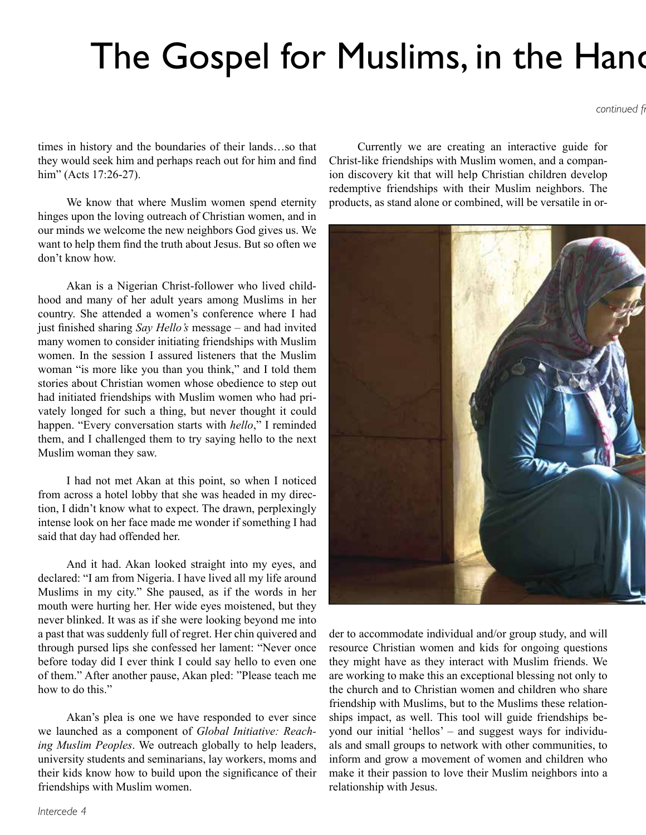### The Gospel for Muslims, in the Hands

*continued fr* 

times in history and the boundaries of their lands…so that they would seek him and perhaps reach out for him and find him" (Acts 17:26-27).

We know that where Muslim women spend eternity hinges upon the loving outreach of Christian women, and in our minds we welcome the new neighbors God gives us. We want to help them find the truth about Jesus. But so often we don't know how.

Akan is a Nigerian Christ-follower who lived childhood and many of her adult years among Muslims in her country. She attended a women's conference where I had just finished sharing *Say Hello's* message – and had invited many women to consider initiating friendships with Muslim women. In the session I assured listeners that the Muslim woman "is more like you than you think," and I told them stories about Christian women whose obedience to step out had initiated friendships with Muslim women who had privately longed for such a thing, but never thought it could happen. "Every conversation starts with *hello*," I reminded them, and I challenged them to try saying hello to the next Muslim woman they saw.

I had not met Akan at this point, so when I noticed from across a hotel lobby that she was headed in my direction, I didn't know what to expect. The drawn, perplexingly intense look on her face made me wonder if something I had said that day had offended her.

And it had. Akan looked straight into my eyes, and declared: "I am from Nigeria. I have lived all my life around Muslims in my city." She paused, as if the words in her mouth were hurting her. Her wide eyes moistened, but they never blinked. It was as if she were looking beyond me into a past that was suddenly full of regret. Her chin quivered and through pursed lips she confessed her lament: "Never once before today did I ever think I could say hello to even one of them." After another pause, Akan pled: "Please teach me how to do this."

Akan's plea is one we have responded to ever since we launched as a component of *Global Initiative: Reaching Muslim Peoples*. We outreach globally to help leaders, university students and seminarians, lay workers, moms and their kids know how to build upon the significance of their friendships with Muslim women.

Currently we are creating an interactive guide for Christ-like friendships with Muslim women, and a companion discovery kit that will help Christian children develop redemptive friendships with their Muslim neighbors. The products, as stand alone or combined, will be versatile in or-



der to accommodate individual and/or group study, and will resource Christian women and kids for ongoing questions they might have as they interact with Muslim friends. We are working to make this an exceptional blessing not only to the church and to Christian women and children who share friendship with Muslims, but to the Muslims these relationships impact, as well. This tool will guide friendships beyond our initial 'hellos' – and suggest ways for individuals and small groups to network with other communities, to inform and grow a movement of women and children who make it their passion to love their Muslim neighbors into a relationship with Jesus.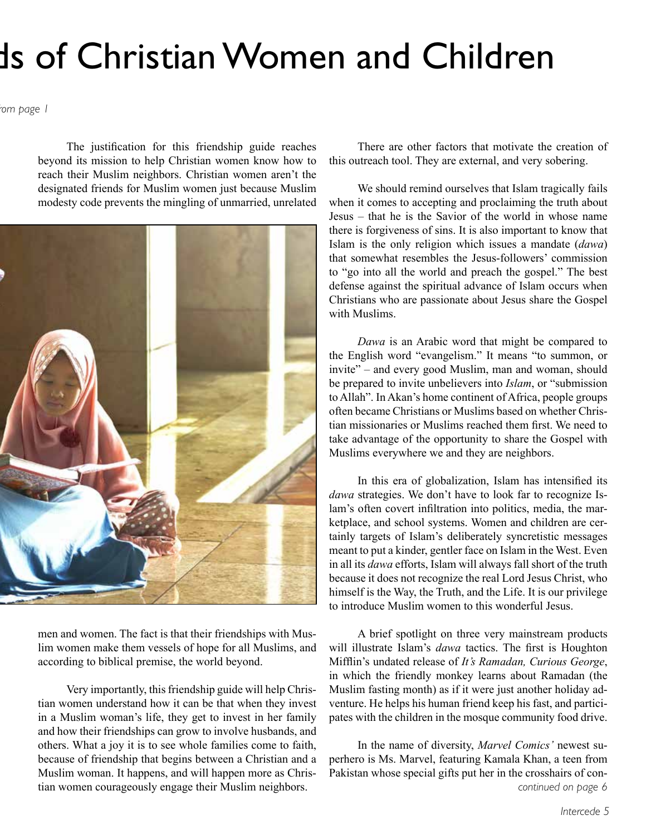## Is of Christian Women and Children

*continued from page 1*

The justification for this friendship guide reaches beyond its mission to help Christian women know how to reach their Muslim neighbors. Christian women aren't the designated friends for Muslim women just because Muslim modesty code prevents the mingling of unmarried, unrelated



men and women. The fact is that their friendships with Muslim women make them vessels of hope for all Muslims, and according to biblical premise, the world beyond.

Very importantly, this friendship guide will help Christian women understand how it can be that when they invest in a Muslim woman's life, they get to invest in her family and how their friendships can grow to involve husbands, and others. What a joy it is to see whole families come to faith, because of friendship that begins between a Christian and a Muslim woman. It happens, and will happen more as Christian women courageously engage their Muslim neighbors.

There are other factors that motivate the creation of this outreach tool. They are external, and very sobering.

We should remind ourselves that Islam tragically fails when it comes to accepting and proclaiming the truth about Jesus – that he is the Savior of the world in whose name there is forgiveness of sins. It is also important to know that Islam is the only religion which issues a mandate (*dawa*) that somewhat resembles the Jesus-followers' commission to "go into all the world and preach the gospel." The best defense against the spiritual advance of Islam occurs when Christians who are passionate about Jesus share the Gospel with Muslims.

*Dawa* is an Arabic word that might be compared to the English word "evangelism." It means "to summon, or invite" – and every good Muslim, man and woman, should be prepared to invite unbelievers into *Islam*, or "submission to Allah". In Akan's home continent of Africa, people groups often became Christians or Muslims based on whether Christian missionaries or Muslims reached them first. We need to take advantage of the opportunity to share the Gospel with Muslims everywhere we and they are neighbors.

In this era of globalization, Islam has intensified its *dawa* strategies. We don't have to look far to recognize Islam's often covert infiltration into politics, media, the marketplace, and school systems. Women and children are certainly targets of Islam's deliberately syncretistic messages meant to put a kinder, gentler face on Islam in the West. Even in all its *dawa* efforts, Islam will always fall short of the truth because it does not recognize the real Lord Jesus Christ, who himself is the Way, the Truth, and the Life. It is our privilege to introduce Muslim women to this wonderful Jesus.

A brief spotlight on three very mainstream products will illustrate Islam's *dawa* tactics. The first is Houghton Mifflin's undated release of *It's Ramadan, Curious George*, in which the friendly monkey learns about Ramadan (the Muslim fasting month) as if it were just another holiday adventure. He helps his human friend keep his fast, and participates with the children in the mosque community food drive.

In the name of diversity, *Marvel Comics'* newest superhero is Ms. Marvel, featuring Kamala Khan, a teen from Pakistan whose special gifts put her in the crosshairs of con*continued on page 6*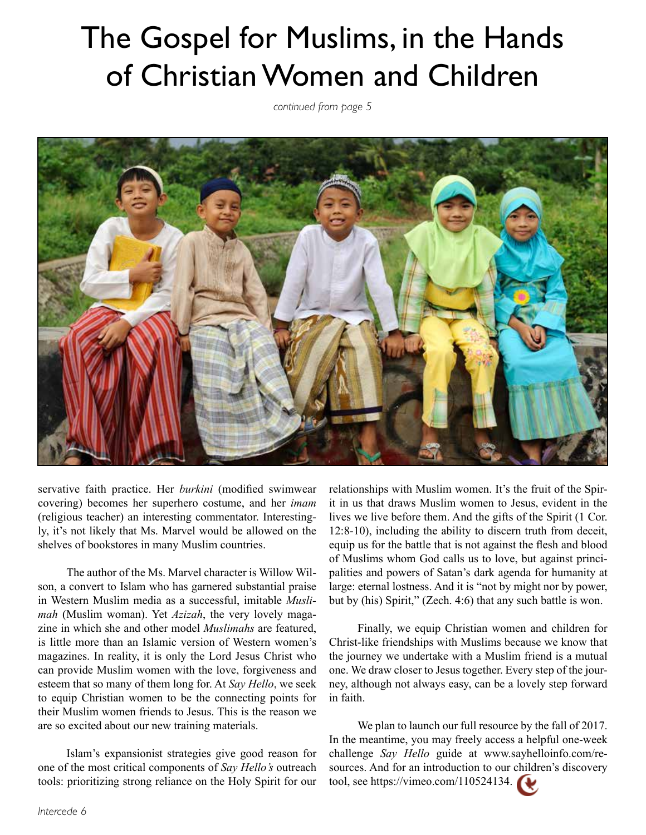### The Gospel for Muslims, in the Hands of Christian Women and Children

*continued from page 5*



servative faith practice. Her *burkini* (modified swimwear covering) becomes her superhero costume, and her *imam*  (religious teacher) an interesting commentator. Interestingly, it's not likely that Ms. Marvel would be allowed on the shelves of bookstores in many Muslim countries.

The author of the Ms. Marvel character is Willow Wilson, a convert to Islam who has garnered substantial praise in Western Muslim media as a successful, imitable *Muslimah* (Muslim woman). Yet *Azizah*, the very lovely magazine in which she and other model *Muslimahs* are featured, is little more than an Islamic version of Western women's magazines. In reality, it is only the Lord Jesus Christ who can provide Muslim women with the love, forgiveness and esteem that so many of them long for. At *Say Hello*, we seek to equip Christian women to be the connecting points for their Muslim women friends to Jesus. This is the reason we are so excited about our new training materials.

Islam's expansionist strategies give good reason for one of the most critical components of *Say Hello's* outreach tools: prioritizing strong reliance on the Holy Spirit for our

relationships with Muslim women. It's the fruit of the Spirit in us that draws Muslim women to Jesus, evident in the lives we live before them. And the gifts of the Spirit (1 Cor. 12:8-10), including the ability to discern truth from deceit, equip us for the battle that is not against the flesh and blood of Muslims whom God calls us to love, but against principalities and powers of Satan's dark agenda for humanity at large: eternal lostness. And it is "not by might nor by power, but by (his) Spirit," (Zech. 4:6) that any such battle is won.

Finally, we equip Christian women and children for Christ-like friendships with Muslims because we know that the journey we undertake with a Muslim friend is a mutual one. We draw closer to Jesus together. Every step of the journey, although not always easy, can be a lovely step forward in faith.

We plan to launch our full resource by the fall of 2017. In the meantime, you may freely access a helpful one-week challenge *Say Hello* guide at www.sayhelloinfo.com/resources. And for an introduction to our children's discovery tool, see https://vimeo.com/110524134.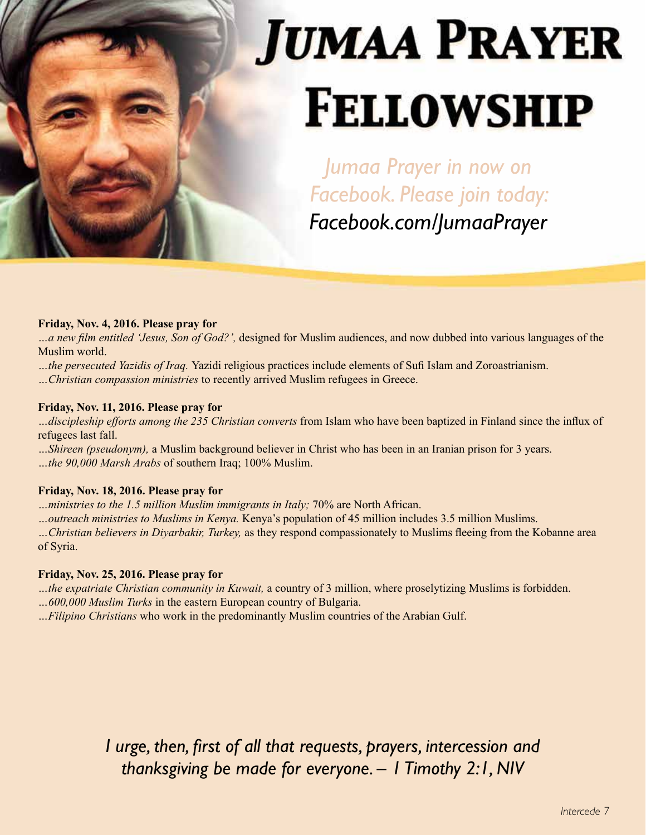# **JUMAA PRAYER FELLOWSHIP**

*Jumaa Prayer in now on Facebook. Please join today: Facebook.com/JumaaPrayer*

#### **Friday, Nov. 4, 2016. Please pray for**

*…a new film entitled 'Jesus, Son of God?',* designed for Muslim audiences, and now dubbed into various languages of the Muslim world.

*…the persecuted Yazidis of Iraq.* Yazidi religious practices include elements of Sufi Islam and Zoroastrianism.

*…Christian compassion ministries* to recently arrived Muslim refugees in Greece.

#### **Friday, Nov. 11, 2016. Please pray for**

*…discipleship efforts among the 235 Christian converts* from Islam who have been baptized in Finland since the influx of refugees last fall.

*…Shireen (pseudonym),* a Muslim background believer in Christ who has been in an Iranian prison for 3 years. *…the 90,000 Marsh Arabs* of southern Iraq; 100% Muslim.

#### **Friday, Nov. 18, 2016. Please pray for**

*…ministries to the 1.5 million Muslim immigrants in Italy;* 70% are North African.

*…outreach ministries to Muslims in Kenya.* Kenya's population of 45 million includes 3.5 million Muslims.

*…Christian believers in Diyarbakir, Turkey,* as they respond compassionately to Muslims fleeing from the Kobanne area of Syria.

#### **Friday, Nov. 25, 2016. Please pray for**

*…the expatriate Christian community in Kuwait,* a country of 3 million, where proselytizing Muslims is forbidden. *…600,000 Muslim Turks* in the eastern European country of Bulgaria.

*…Filipino Christians* who work in the predominantly Muslim countries of the Arabian Gulf.

*I urge, then, first of all that requests, prayers, intercession and thanksgiving be made for everyone. – 1 Timothy 2:1, NIV*